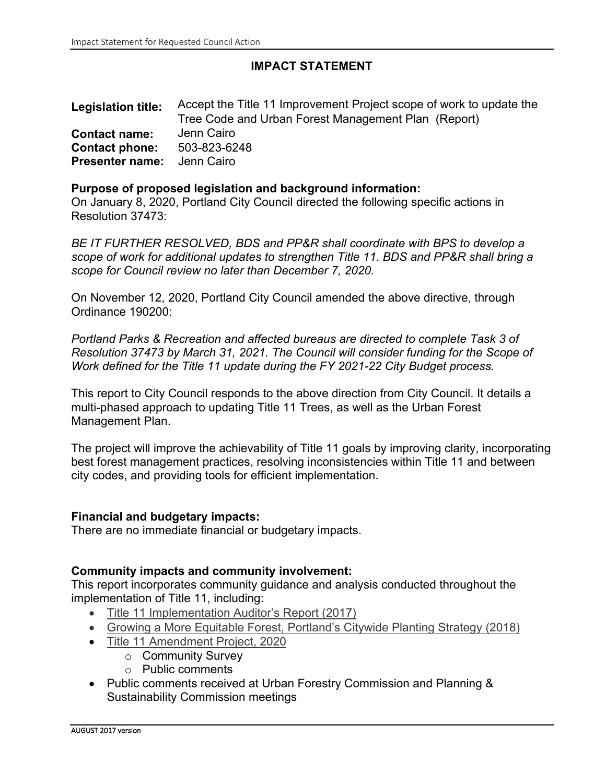# **IMPACT STATEMENT**

| <b>Legislation title:</b> | Accept the Title 11 Improvement Project scope of work to update the<br>Tree Code and Urban Forest Management Plan (Report) |  |  |  |  |
|---------------------------|----------------------------------------------------------------------------------------------------------------------------|--|--|--|--|
| <b>Contact name:</b>      | Jenn Cairo                                                                                                                 |  |  |  |  |
| <b>Contact phone:</b>     | 503-823-6248                                                                                                               |  |  |  |  |
| <b>Presenter name:</b>    | Jenn Cairo                                                                                                                 |  |  |  |  |

## **Purpose of proposed legislation and background information:**

On January 8, 2020, Portland City Council directed the following specific actions in Resolution 37473:

*BE IT FURTHER RESOLVED, BDS and PP&R shall coordinate with BPS to develop a scope of work for additional updates to strengthen Title 11. BDS and PP&R shall bring a scope for Council review no later than December 7, 2020.*

On November 12, 2020, Portland City Council amended the above directive, through Ordinance 190200:

*Portland Parks & Recreation and affected bureaus are directed to complete Task 3 of Resolution 37473 by March 31, 2021. The Council will consider funding for the Scope of Work defined for the Title 11 update during the FY 2021-22 City Budget process.*

This report to City Council responds to the above direction from City Council. It details a multi-phased approach to updating Title 11 Trees, as well as the Urban Forest Management Plan.

The project will improve the achievability of Title 11 goals by improving clarity, incorporating best forest management practices, resolving inconsistencies within Title 11 and between city codes, and providing tools for efficient implementation.

# **Financial and budgetary impacts:**

There are no immediate financial or budgetary impacts.

#### **Community impacts and community involvement:**

This report incorporates community guidance and analysis conducted throughout the implementation of Title 11, including:

- [Title 11 Implementation Auditor's Report](https://www.portlandoregon.gov/auditservices/article/654521) (2017)
- [Growing a More Equitable Forest, Portland's Citywide Planting Strategy \(2018\)](https://www.portland.gov/sites/default/files/2020-09/tree-planting-strategy-12.18.pdf)
- [Title 11 Amendment Project, 2020](https://www.portland.gov/sites/default/files/2020-08/proposal-for-amendments-to-title-11-trees-with-appendices_08142020.pdf)
	- o Community Survey
	- o Public comments
- Public comments received at Urban Forestry Commission and Planning & Sustainability Commission meetings